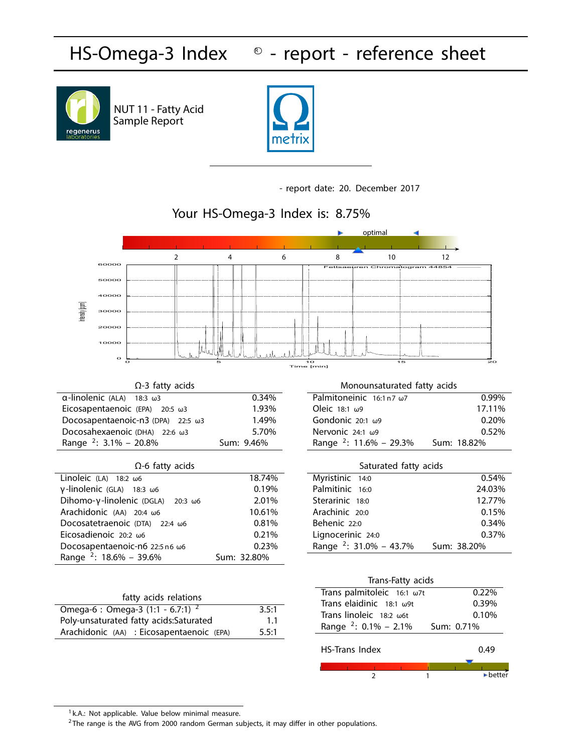#### **HS-Omega-3** Index **- report - reference sheet**



Sample Report NUT 11 - Fatty Acid



**- report date: 20. December 2017**



 $<sup>1</sup>$  k.A.: Not applicable. Value below minimal measure.</sup>

 $2$ The range is the AVG from 2000 random German subjects, it may differ in other populations.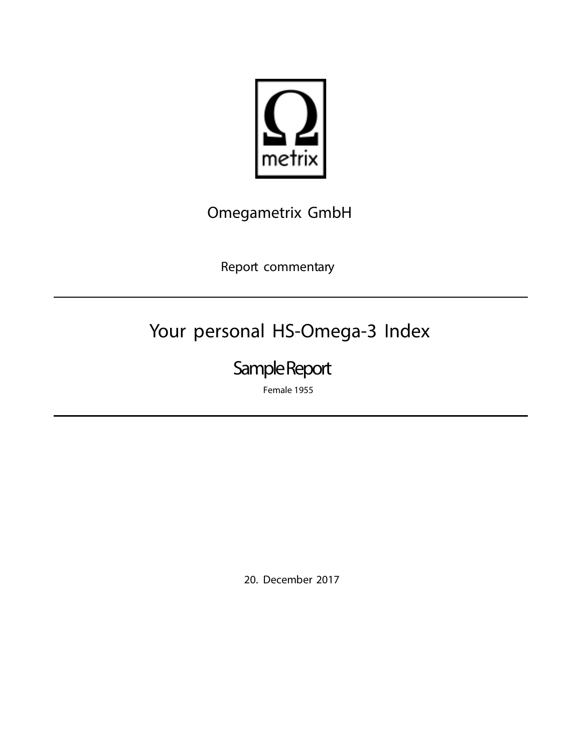

### Omegametrix GmbH

Report commentary

# **Your personal HS-Omega-3 Index**

## **Sample Report**

**Female 1955**

20. December 2017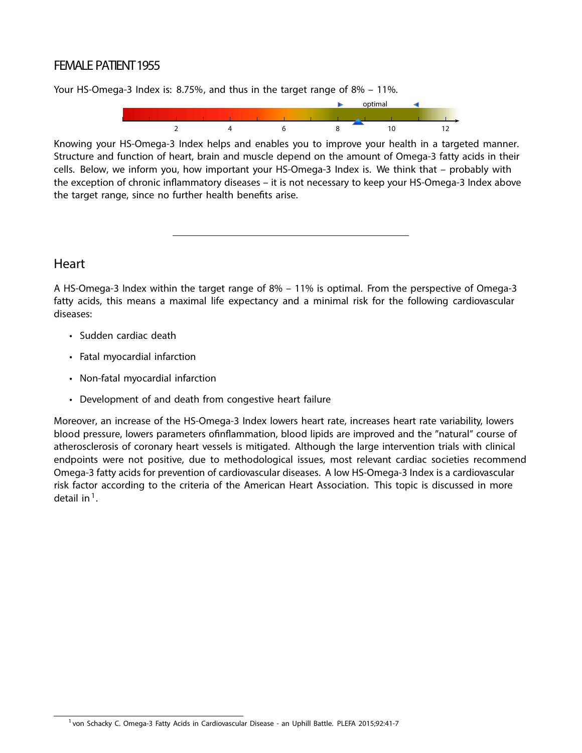#### **FEMALE PATIENT 1955**

Your HS-Omega-3 Index is: 8.75%, and thus in the target range of 8% – 11%.



Knowing your HS-Omega-3 Index helps and enables you to improve your health in a targeted manner. Structure and function of heart, brain and muscle depend on the amount of Omega-3 fatty acids in their cells. Below, we inform you, how important your HS-Omega-3 Index is. We think that – probably with the exception of chronic inflammatory diseases – it is not necessary to keep your HS-Omega-3 Index above the target range, since no further health benefits arise.

#### **Heart**

A HS-Omega-3 Index within the target range of 8% – 11% is optimal. From the perspective of Omega-3 fatty acids, this means a maximal life expectancy and a minimal risk for the following cardiovascular diseases:

- Sudden cardiac death
- Fatal myocardial infarction
- Non-fatal myocardial infarction
- Development of and death from congestive heart failure

Moreover, an increase of the HS-Omega-3 Index lowers heart rate, increases heart rate variability, lowers blood pressure, lowers parameters ofinflammation, blood lipids are improved and the "natural" course of atherosclerosis of coronary heart vessels is mitigated. Although the large intervention trials with clinical endpoints were not positive, due to methodological issues, most relevant cardiac societies recommend Omega-3 fatty acids for prevention of cardiovascular diseases. A low HS-Omega-3 Index is a cardiovascular risk factor according to the criteria of the American Heart Association. This topic is discussed in more detail in $<sup>1</sup>$ .</sup>

<sup>1</sup> von Schacky C. Omega-3 Fatty Acids in Cardiovascular Disease - an Uphill Battle. PLEFA 2015;92:41-7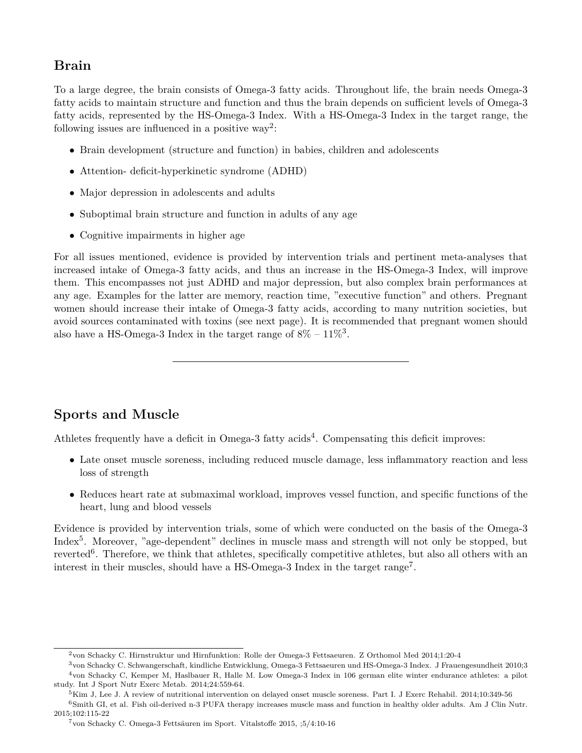#### **Brain**

To a large degree, the brain consists of Omega-3 fatty acids. Throughout life, the brain needs Omega-3 fatty acids to maintain structure and function and thus the brain depends on sufficient levels of Omega-3 fatty acids, represented by the HS-Omega-3 Index. With a HS-Omega-3 Index in the target range, the following issues are influenced in a positive way<sup>2</sup>:

- Brain development (structure and function) in babies, children and adolescents
- *•* Attention- deficit-hyperkinetic syndrome (ADHD)
- Major depression in adolescents and adults
- *•* Suboptimal brain structure and function in adults of any age
- *•* Cognitive impairments in higher age

For all issues mentioned, evidence is provided by intervention trials and pertinent meta-analyses that increased intake of Omega-3 fatty acids, and thus an increase in the HS-Omega-3 Index, will improve them. This encompasses not just ADHD and major depression, but also complex brain performances at any age. Examples for the latter are memory, reaction time, "executive function" and others. Pregnant women should increase their intake of Omega-3 fatty acids, according to many nutrition societies, but avoid sources contaminated with toxins (see next page). It is recommended that pregnant women should also have a HS-Omega-3 Index in the target range of  $8\%$  –  $11\%$ <sup>3</sup>.

#### **Sports and Muscle**

Athletes frequently have a deficit in Omega-3 fatty acids<sup>4</sup>. Compensating this deficit improves:

- Late onset muscle soreness, including reduced muscle damage, less inflammatory reaction and less loss of strength
- Reduces heart rate at submaximal workload, improves vessel function, and specific functions of the heart, lung and blood vessels

Evidence is provided by intervention trials, some of which were conducted on the basis of the Omega-3 Index<sup>5</sup>. Moreover, "age-dependent" declines in muscle mass and strength will not only be stopped, but reverted<sup>6</sup>. Therefore, we think that athletes, specifically competitive athletes, but also all others with an interest in their muscles, should have a HS-Omega-3 Index in the target range<sup>7</sup> .

<sup>2</sup>von Schacky C. Hirnstruktur und Hirnfunktion: Rolle der Omega-3 Fettsaeuren. Z Orthomol Med 2014;1:20-4

<sup>3</sup>von Schacky C. Schwangerschaft, kindliche Entwicklung, Omega-3 Fettsaeuren und HS-Omega-3 Index. J Frauengesundheit 2010;3 <sup>4</sup>von Schacky C, Kemper M, Haslbauer R, Halle M. Low Omega-3 Index in 106 german elite winter endurance athletes: a pilot study. Int J Sport Nutr Exerc Metab. 2014;24:559-64.

 $5$ Kim J, Lee J. A review of nutritional intervention on delayed onset muscle soreness. Part I. J Exerc Rehabil. 2014;10:349-56

<sup>6</sup>Smith GI, et al. Fish oil-derived n-3 PUFA therapy increases muscle mass and function in healthy older adults. Am J Clin Nutr. 2015;102:115-22

<sup>7</sup>von Schacky C. Omega-3 Fettsäuren im Sport. Vitalstoffe 2015, ;5/4:10-16